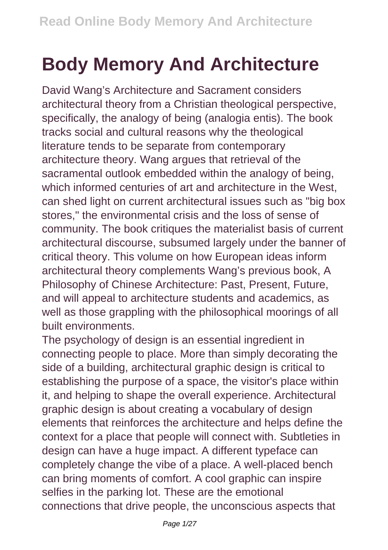## **Body Memory And Architecture**

David Wang's Architecture and Sacrament considers architectural theory from a Christian theological perspective, specifically, the analogy of being (analogia entis). The book tracks social and cultural reasons why the theological literature tends to be separate from contemporary architecture theory. Wang argues that retrieval of the sacramental outlook embedded within the analogy of being, which informed centuries of art and architecture in the West, can shed light on current architectural issues such as "big box stores," the environmental crisis and the loss of sense of community. The book critiques the materialist basis of current architectural discourse, subsumed largely under the banner of critical theory. This volume on how European ideas inform architectural theory complements Wang's previous book, A Philosophy of Chinese Architecture: Past, Present, Future, and will appeal to architecture students and academics, as well as those grappling with the philosophical moorings of all built environments.

The psychology of design is an essential ingredient in connecting people to place. More than simply decorating the side of a building, architectural graphic design is critical to establishing the purpose of a space, the visitor's place within it, and helping to shape the overall experience. Architectural graphic design is about creating a vocabulary of design elements that reinforces the architecture and helps define the context for a place that people will connect with. Subtleties in design can have a huge impact. A different typeface can completely change the vibe of a place. A well-placed bench can bring moments of comfort. A cool graphic can inspire selfies in the parking lot. These are the emotional connections that drive people, the unconscious aspects that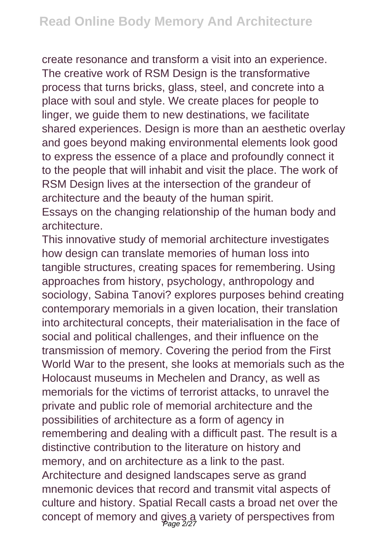create resonance and transform a visit into an experience. The creative work of RSM Design is the transformative process that turns bricks, glass, steel, and concrete into a place with soul and style. We create places for people to linger, we guide them to new destinations, we facilitate shared experiences. Design is more than an aesthetic overlay and goes beyond making environmental elements look good to express the essence of a place and profoundly connect it to the people that will inhabit and visit the place. The work of RSM Design lives at the intersection of the grandeur of architecture and the beauty of the human spirit.

Essays on the changing relationship of the human body and architecture.

This innovative study of memorial architecture investigates how design can translate memories of human loss into tangible structures, creating spaces for remembering. Using approaches from history, psychology, anthropology and sociology, Sabina Tanovi? explores purposes behind creating contemporary memorials in a given location, their translation into architectural concepts, their materialisation in the face of social and political challenges, and their influence on the transmission of memory. Covering the period from the First World War to the present, she looks at memorials such as the Holocaust museums in Mechelen and Drancy, as well as memorials for the victims of terrorist attacks, to unravel the private and public role of memorial architecture and the possibilities of architecture as a form of agency in remembering and dealing with a difficult past. The result is a distinctive contribution to the literature on history and memory, and on architecture as a link to the past. Architecture and designed landscapes serve as grand mnemonic devices that record and transmit vital aspects of culture and history. Spatial Recall casts a broad net over the concept of memory and gives a variety of perspectives from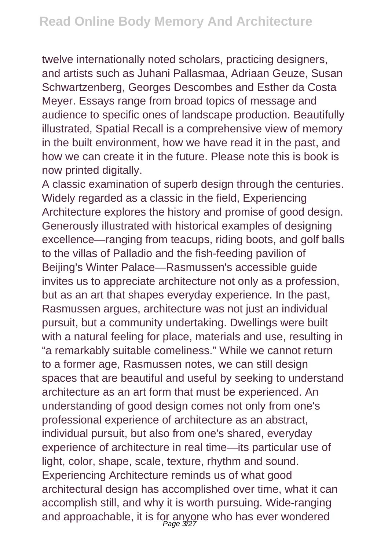twelve internationally noted scholars, practicing designers, and artists such as Juhani Pallasmaa, Adriaan Geuze, Susan Schwartzenberg, Georges Descombes and Esther da Costa Meyer. Essays range from broad topics of message and audience to specific ones of landscape production. Beautifully illustrated, Spatial Recall is a comprehensive view of memory in the built environment, how we have read it in the past, and how we can create it in the future. Please note this is book is now printed digitally.

A classic examination of superb design through the centuries. Widely regarded as a classic in the field, Experiencing Architecture explores the history and promise of good design. Generously illustrated with historical examples of designing excellence—ranging from teacups, riding boots, and golf balls to the villas of Palladio and the fish-feeding pavilion of Beijing's Winter Palace—Rasmussen's accessible guide invites us to appreciate architecture not only as a profession, but as an art that shapes everyday experience. In the past, Rasmussen argues, architecture was not just an individual pursuit, but a community undertaking. Dwellings were built with a natural feeling for place, materials and use, resulting in "a remarkably suitable comeliness." While we cannot return to a former age, Rasmussen notes, we can still design spaces that are beautiful and useful by seeking to understand architecture as an art form that must be experienced. An understanding of good design comes not only from one's professional experience of architecture as an abstract, individual pursuit, but also from one's shared, everyday experience of architecture in real time—its particular use of light, color, shape, scale, texture, rhythm and sound. Experiencing Architecture reminds us of what good architectural design has accomplished over time, what it can accomplish still, and why it is worth pursuing. Wide-ranging and approachable, it is for anyone who has ever wondered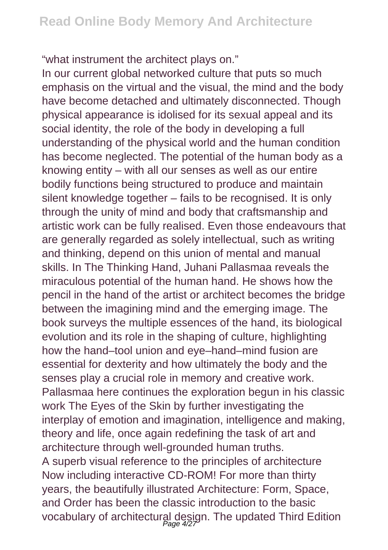"what instrument the architect plays on."

In our current global networked culture that puts so much emphasis on the virtual and the visual, the mind and the body have become detached and ultimately disconnected. Though physical appearance is idolised for its sexual appeal and its social identity, the role of the body in developing a full understanding of the physical world and the human condition has become neglected. The potential of the human body as a knowing entity – with all our senses as well as our entire bodily functions being structured to produce and maintain silent knowledge together – fails to be recognised. It is only through the unity of mind and body that craftsmanship and artistic work can be fully realised. Even those endeavours that are generally regarded as solely intellectual, such as writing and thinking, depend on this union of mental and manual skills. In The Thinking Hand, Juhani Pallasmaa reveals the miraculous potential of the human hand. He shows how the pencil in the hand of the artist or architect becomes the bridge between the imagining mind and the emerging image. The book surveys the multiple essences of the hand, its biological evolution and its role in the shaping of culture, highlighting how the hand–tool union and eye–hand–mind fusion are essential for dexterity and how ultimately the body and the senses play a crucial role in memory and creative work. Pallasmaa here continues the exploration begun in his classic work The Eyes of the Skin by further investigating the interplay of emotion and imagination, intelligence and making, theory and life, once again redefining the task of art and architecture through well-grounded human truths. A superb visual reference to the principles of architecture Now including interactive CD-ROM! For more than thirty years, the beautifully illustrated Architecture: Form, Space, and Order has been the classic introduction to the basic vocabulary of architectural design. The updated Third Edition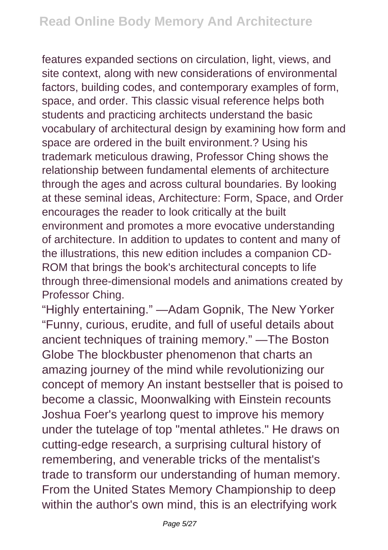features expanded sections on circulation, light, views, and site context, along with new considerations of environmental factors, building codes, and contemporary examples of form, space, and order. This classic visual reference helps both students and practicing architects understand the basic vocabulary of architectural design by examining how form and space are ordered in the built environment.? Using his trademark meticulous drawing, Professor Ching shows the relationship between fundamental elements of architecture through the ages and across cultural boundaries. By looking at these seminal ideas, Architecture: Form, Space, and Order encourages the reader to look critically at the built environment and promotes a more evocative understanding of architecture. In addition to updates to content and many of the illustrations, this new edition includes a companion CD-ROM that brings the book's architectural concepts to life through three-dimensional models and animations created by Professor Ching.

"Highly entertaining." —Adam Gopnik, The New Yorker "Funny, curious, erudite, and full of useful details about ancient techniques of training memory." —The Boston Globe The blockbuster phenomenon that charts an amazing journey of the mind while revolutionizing our concept of memory An instant bestseller that is poised to become a classic, Moonwalking with Einstein recounts Joshua Foer's yearlong quest to improve his memory under the tutelage of top "mental athletes." He draws on cutting-edge research, a surprising cultural history of remembering, and venerable tricks of the mentalist's trade to transform our understanding of human memory. From the United States Memory Championship to deep within the author's own mind, this is an electrifying work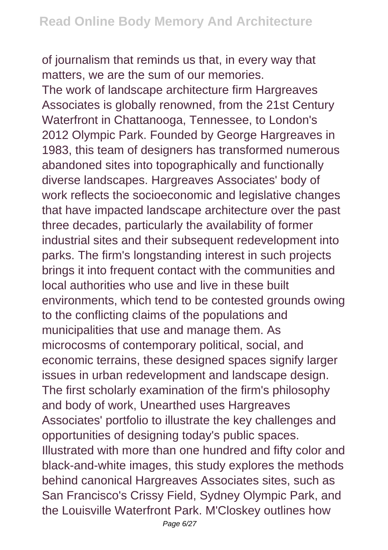of journalism that reminds us that, in every way that matters, we are the sum of our memories. The work of landscape architecture firm Hargreaves Associates is globally renowned, from the 21st Century Waterfront in Chattanooga, Tennessee, to London's 2012 Olympic Park. Founded by George Hargreaves in 1983, this team of designers has transformed numerous abandoned sites into topographically and functionally diverse landscapes. Hargreaves Associates' body of work reflects the socioeconomic and legislative changes that have impacted landscape architecture over the past three decades, particularly the availability of former industrial sites and their subsequent redevelopment into parks. The firm's longstanding interest in such projects brings it into frequent contact with the communities and local authorities who use and live in these built environments, which tend to be contested grounds owing to the conflicting claims of the populations and municipalities that use and manage them. As microcosms of contemporary political, social, and economic terrains, these designed spaces signify larger issues in urban redevelopment and landscape design. The first scholarly examination of the firm's philosophy and body of work, Unearthed uses Hargreaves Associates' portfolio to illustrate the key challenges and opportunities of designing today's public spaces. Illustrated with more than one hundred and fifty color and black-and-white images, this study explores the methods behind canonical Hargreaves Associates sites, such as San Francisco's Crissy Field, Sydney Olympic Park, and the Louisville Waterfront Park. M'Closkey outlines how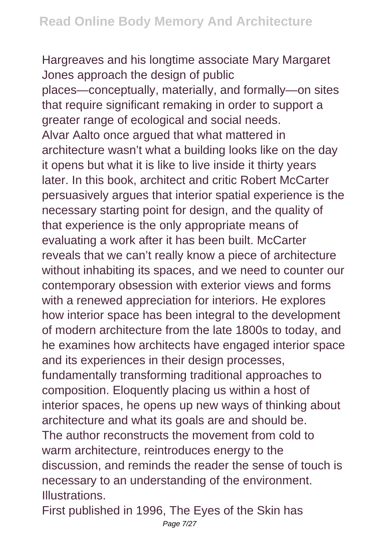Hargreaves and his longtime associate Mary Margaret Jones approach the design of public places—conceptually, materially, and formally—on sites that require significant remaking in order to support a greater range of ecological and social needs. Alvar Aalto once argued that what mattered in architecture wasn't what a building looks like on the day it opens but what it is like to live inside it thirty years later. In this book, architect and critic Robert McCarter persuasively argues that interior spatial experience is the necessary starting point for design, and the quality of that experience is the only appropriate means of evaluating a work after it has been built. McCarter reveals that we can't really know a piece of architecture without inhabiting its spaces, and we need to counter our contemporary obsession with exterior views and forms with a renewed appreciation for interiors. He explores how interior space has been integral to the development of modern architecture from the late 1800s to today, and he examines how architects have engaged interior space and its experiences in their design processes, fundamentally transforming traditional approaches to composition. Eloquently placing us within a host of interior spaces, he opens up new ways of thinking about architecture and what its goals are and should be. The author reconstructs the movement from cold to warm architecture, reintroduces energy to the discussion, and reminds the reader the sense of touch is necessary to an understanding of the environment. **Illustrations** 

First published in 1996, The Eyes of the Skin has Page 7/27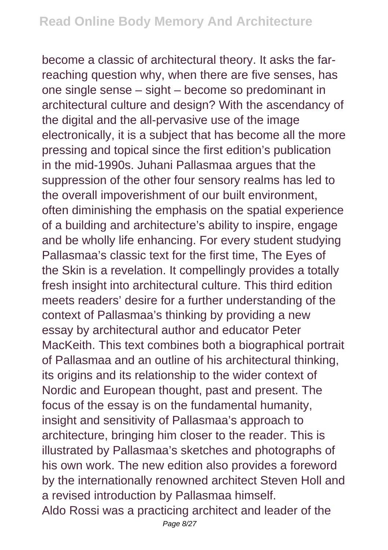become a classic of architectural theory. It asks the farreaching question why, when there are five senses, has one single sense – sight – become so predominant in architectural culture and design? With the ascendancy of the digital and the all-pervasive use of the image electronically, it is a subject that has become all the more pressing and topical since the first edition's publication in the mid-1990s. Juhani Pallasmaa argues that the suppression of the other four sensory realms has led to the overall impoverishment of our built environment, often diminishing the emphasis on the spatial experience of a building and architecture's ability to inspire, engage and be wholly life enhancing. For every student studying Pallasmaa's classic text for the first time, The Eyes of the Skin is a revelation. It compellingly provides a totally fresh insight into architectural culture. This third edition meets readers' desire for a further understanding of the context of Pallasmaa's thinking by providing a new essay by architectural author and educator Peter MacKeith. This text combines both a biographical portrait of Pallasmaa and an outline of his architectural thinking, its origins and its relationship to the wider context of Nordic and European thought, past and present. The focus of the essay is on the fundamental humanity, insight and sensitivity of Pallasmaa's approach to architecture, bringing him closer to the reader. This is illustrated by Pallasmaa's sketches and photographs of his own work. The new edition also provides a foreword by the internationally renowned architect Steven Holl and a revised introduction by Pallasmaa himself. Aldo Rossi was a practicing architect and leader of the Page 8/27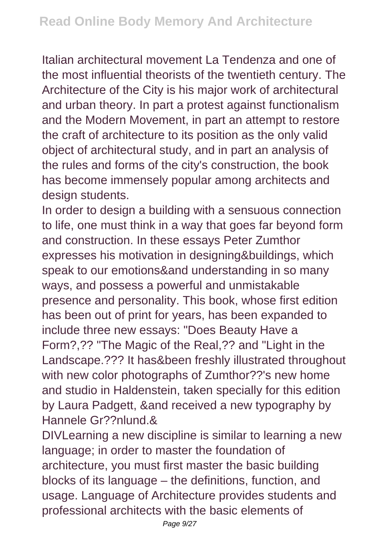Italian architectural movement La Tendenza and one of the most influential theorists of the twentieth century. The Architecture of the City is his major work of architectural and urban theory. In part a protest against functionalism and the Modern Movement, in part an attempt to restore the craft of architecture to its position as the only valid object of architectural study, and in part an analysis of the rules and forms of the city's construction, the book has become immensely popular among architects and design students.

In order to design a building with a sensuous connection to life, one must think in a way that goes far beyond form and construction. In these essays Peter Zumthor expresses his motivation in designing&buildings, which speak to our emotions&and understanding in so many ways, and possess a powerful and unmistakable presence and personality. This book, whose first edition has been out of print for years, has been expanded to include three new essays: "Does Beauty Have a Form?,?? "The Magic of the Real,?? and "Light in the Landscape.??? It has&been freshly illustrated throughout with new color photographs of Zumthor??'s new home and studio in Haldenstein, taken specially for this edition by Laura Padgett, &and received a new typography by Hannele Gr??nlund.&

DIVLearning a new discipline is similar to learning a new language; in order to master the foundation of architecture, you must first master the basic building blocks of its language – the definitions, function, and usage. Language of Architecture provides students and professional architects with the basic elements of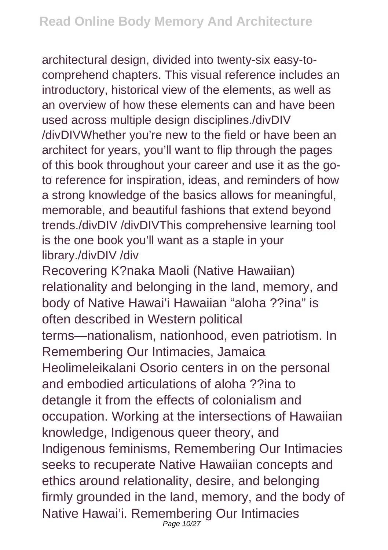architectural design, divided into twenty-six easy-tocomprehend chapters. This visual reference includes an introductory, historical view of the elements, as well as an overview of how these elements can and have been used across multiple design disciplines./divDIV /divDIVWhether you're new to the field or have been an architect for years, you'll want to flip through the pages of this book throughout your career and use it as the goto reference for inspiration, ideas, and reminders of how a strong knowledge of the basics allows for meaningful, memorable, and beautiful fashions that extend beyond trends./divDIV /divDIVThis comprehensive learning tool is the one book you'll want as a staple in your library./divDIV /div

Recovering K?naka Maoli (Native Hawaiian) relationality and belonging in the land, memory, and body of Native Hawai'i Hawaiian "aloha ??ina" is often described in Western political terms—nationalism, nationhood, even patriotism. In Remembering Our Intimacies, Jamaica Heolimeleikalani Osorio centers in on the personal and embodied articulations of aloha ??ina to detangle it from the effects of colonialism and occupation. Working at the intersections of Hawaiian knowledge, Indigenous queer theory, and Indigenous feminisms, Remembering Our Intimacies seeks to recuperate Native Hawaiian concepts and ethics around relationality, desire, and belonging firmly grounded in the land, memory, and the body of Native Hawai'i. Remembering Our Intimacies Page 10/27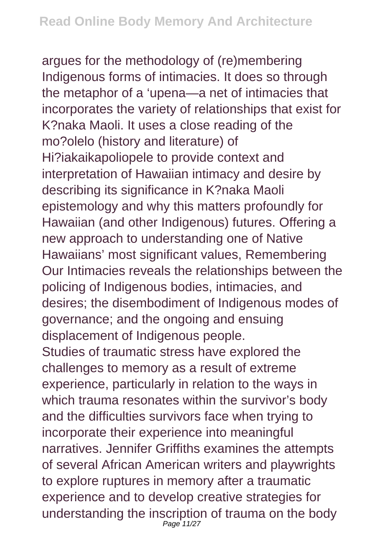argues for the methodology of (re)membering Indigenous forms of intimacies. It does so through the metaphor of a 'upena—a net of intimacies that incorporates the variety of relationships that exist for K?naka Maoli. It uses a close reading of the mo?olelo (history and literature) of Hi?iakaikapoliopele to provide context and interpretation of Hawaiian intimacy and desire by describing its significance in K?naka Maoli epistemology and why this matters profoundly for Hawaiian (and other Indigenous) futures. Offering a new approach to understanding one of Native Hawaiians' most significant values, Remembering Our Intimacies reveals the relationships between the policing of Indigenous bodies, intimacies, and desires; the disembodiment of Indigenous modes of governance; and the ongoing and ensuing displacement of Indigenous people. Studies of traumatic stress have explored the challenges to memory as a result of extreme experience, particularly in relation to the ways in which trauma resonates within the survivor's body and the difficulties survivors face when trying to incorporate their experience into meaningful narratives. Jennifer Griffiths examines the attempts of several African American writers and playwrights to explore ruptures in memory after a traumatic experience and to develop creative strategies for understanding the inscription of trauma on the body Page 11/27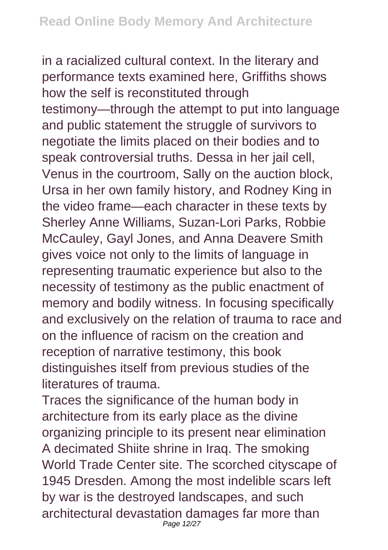in a racialized cultural context. In the literary and performance texts examined here, Griffiths shows how the self is reconstituted through testimony—through the attempt to put into language and public statement the struggle of survivors to negotiate the limits placed on their bodies and to speak controversial truths. Dessa in her jail cell, Venus in the courtroom, Sally on the auction block, Ursa in her own family history, and Rodney King in the video frame—each character in these texts by Sherley Anne Williams, Suzan-Lori Parks, Robbie McCauley, Gayl Jones, and Anna Deavere Smith gives voice not only to the limits of language in representing traumatic experience but also to the necessity of testimony as the public enactment of memory and bodily witness. In focusing specifically and exclusively on the relation of trauma to race and on the influence of racism on the creation and reception of narrative testimony, this book distinguishes itself from previous studies of the literatures of trauma.

Traces the significance of the human body in architecture from its early place as the divine organizing principle to its present near elimination A decimated Shiite shrine in Iraq. The smoking World Trade Center site. The scorched cityscape of 1945 Dresden. Among the most indelible scars left by war is the destroyed landscapes, and such architectural devastation damages far more than Page 12/27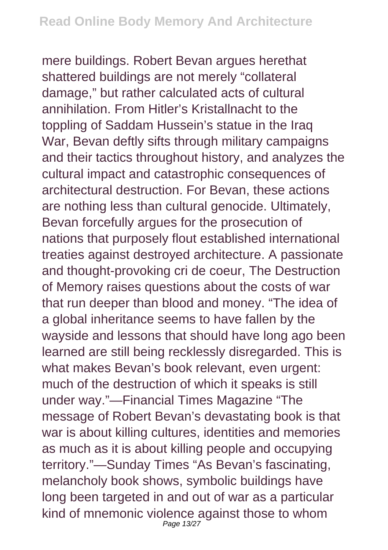mere buildings. Robert Bevan argues herethat shattered buildings are not merely "collateral damage," but rather calculated acts of cultural annihilation. From Hitler's Kristallnacht to the toppling of Saddam Hussein's statue in the Iraq War, Bevan deftly sifts through military campaigns and their tactics throughout history, and analyzes the cultural impact and catastrophic consequences of architectural destruction. For Bevan, these actions are nothing less than cultural genocide. Ultimately, Bevan forcefully argues for the prosecution of nations that purposely flout established international treaties against destroyed architecture. A passionate and thought-provoking cri de coeur, The Destruction of Memory raises questions about the costs of war that run deeper than blood and money. "The idea of a global inheritance seems to have fallen by the wayside and lessons that should have long ago been learned are still being recklessly disregarded. This is what makes Bevan's book relevant, even urgent: much of the destruction of which it speaks is still under way."—Financial Times Magazine "The message of Robert Bevan's devastating book is that war is about killing cultures, identities and memories as much as it is about killing people and occupying territory."—Sunday Times "As Bevan's fascinating, melancholy book shows, symbolic buildings have long been targeted in and out of war as a particular kind of mnemonic violence against those to whom Page 13/27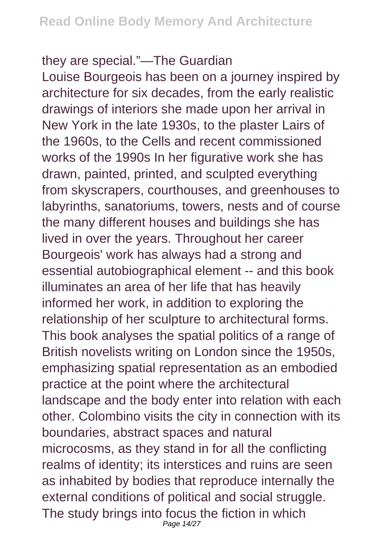## they are special."—The Guardian

Louise Bourgeois has been on a journey inspired by architecture for six decades, from the early realistic drawings of interiors she made upon her arrival in New York in the late 1930s, to the plaster Lairs of the 1960s, to the Cells and recent commissioned works of the 1990s In her figurative work she has drawn, painted, printed, and sculpted everything from skyscrapers, courthouses, and greenhouses to labyrinths, sanatoriums, towers, nests and of course the many different houses and buildings she has lived in over the years. Throughout her career Bourgeois' work has always had a strong and essential autobiographical element -- and this book illuminates an area of her life that has heavily informed her work, in addition to exploring the relationship of her sculpture to architectural forms. This book analyses the spatial politics of a range of British novelists writing on London since the 1950s, emphasizing spatial representation as an embodied practice at the point where the architectural landscape and the body enter into relation with each other. Colombino visits the city in connection with its boundaries, abstract spaces and natural microcosms, as they stand in for all the conflicting realms of identity; its interstices and ruins are seen as inhabited by bodies that reproduce internally the external conditions of political and social struggle. The study brings into focus the fiction in which Page 14/27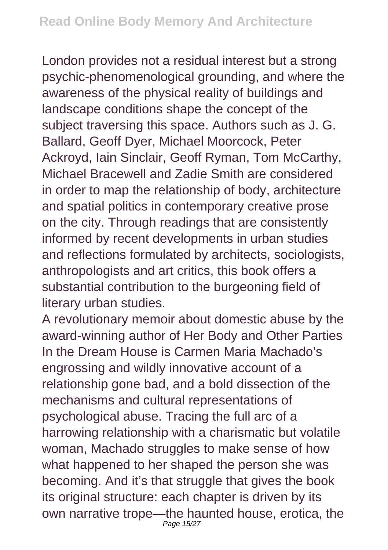London provides not a residual interest but a strong psychic-phenomenological grounding, and where the awareness of the physical reality of buildings and landscape conditions shape the concept of the subject traversing this space. Authors such as J. G. Ballard, Geoff Dyer, Michael Moorcock, Peter Ackroyd, Iain Sinclair, Geoff Ryman, Tom McCarthy, Michael Bracewell and Zadie Smith are considered in order to map the relationship of body, architecture and spatial politics in contemporary creative prose on the city. Through readings that are consistently informed by recent developments in urban studies and reflections formulated by architects, sociologists, anthropologists and art critics, this book offers a substantial contribution to the burgeoning field of literary urban studies.

A revolutionary memoir about domestic abuse by the award-winning author of Her Body and Other Parties In the Dream House is Carmen Maria Machado's engrossing and wildly innovative account of a relationship gone bad, and a bold dissection of the mechanisms and cultural representations of psychological abuse. Tracing the full arc of a harrowing relationship with a charismatic but volatile woman, Machado struggles to make sense of how what happened to her shaped the person she was becoming. And it's that struggle that gives the book its original structure: each chapter is driven by its own narrative trope—the haunted house, erotica, the Page 15/27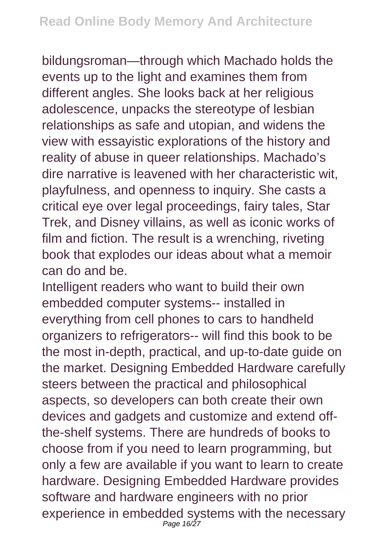bildungsroman—through which Machado holds the events up to the light and examines them from different angles. She looks back at her religious adolescence, unpacks the stereotype of lesbian relationships as safe and utopian, and widens the view with essayistic explorations of the history and reality of abuse in queer relationships. Machado's dire narrative is leavened with her characteristic wit, playfulness, and openness to inquiry. She casts a critical eye over legal proceedings, fairy tales, Star Trek, and Disney villains, as well as iconic works of film and fiction. The result is a wrenching, riveting book that explodes our ideas about what a memoir can do and be.

Intelligent readers who want to build their own embedded computer systems-- installed in everything from cell phones to cars to handheld organizers to refrigerators-- will find this book to be the most in-depth, practical, and up-to-date guide on the market. Designing Embedded Hardware carefully steers between the practical and philosophical aspects, so developers can both create their own devices and gadgets and customize and extend offthe-shelf systems. There are hundreds of books to choose from if you need to learn programming, but only a few are available if you want to learn to create hardware. Designing Embedded Hardware provides software and hardware engineers with no prior experience in embedded systems with the necessary Page 16/27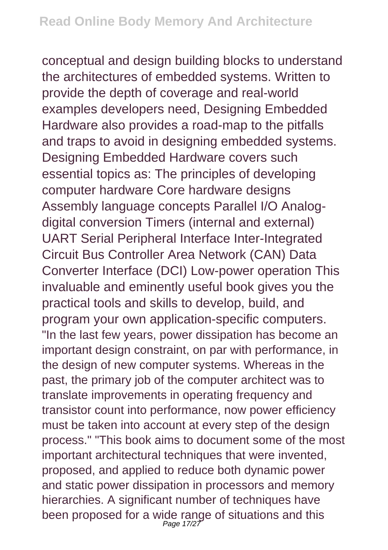conceptual and design building blocks to understand the architectures of embedded systems. Written to provide the depth of coverage and real-world examples developers need, Designing Embedded Hardware also provides a road-map to the pitfalls and traps to avoid in designing embedded systems. Designing Embedded Hardware covers such essential topics as: The principles of developing computer hardware Core hardware designs Assembly language concepts Parallel I/O Analogdigital conversion Timers (internal and external) UART Serial Peripheral Interface Inter-Integrated Circuit Bus Controller Area Network (CAN) Data Converter Interface (DCI) Low-power operation This invaluable and eminently useful book gives you the practical tools and skills to develop, build, and program your own application-specific computers. "In the last few years, power dissipation has become an important design constraint, on par with performance, in the design of new computer systems. Whereas in the past, the primary job of the computer architect was to translate improvements in operating frequency and transistor count into performance, now power efficiency must be taken into account at every step of the design process." "This book aims to document some of the most important architectural techniques that were invented, proposed, and applied to reduce both dynamic power and static power dissipation in processors and memory hierarchies. A significant number of techniques have been proposed for a wide range of situations and this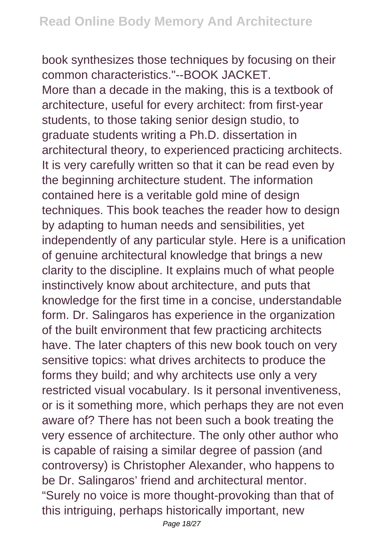book synthesizes those techniques by focusing on their common characteristics."--BOOK JACKET. More than a decade in the making, this is a textbook of architecture, useful for every architect: from first-year students, to those taking senior design studio, to graduate students writing a Ph.D. dissertation in architectural theory, to experienced practicing architects. It is very carefully written so that it can be read even by the beginning architecture student. The information contained here is a veritable gold mine of design techniques. This book teaches the reader how to design by adapting to human needs and sensibilities, yet independently of any particular style. Here is a unification of genuine architectural knowledge that brings a new clarity to the discipline. It explains much of what people instinctively know about architecture, and puts that knowledge for the first time in a concise, understandable form. Dr. Salingaros has experience in the organization of the built environment that few practicing architects have. The later chapters of this new book touch on very sensitive topics: what drives architects to produce the forms they build; and why architects use only a very restricted visual vocabulary. Is it personal inventiveness, or is it something more, which perhaps they are not even aware of? There has not been such a book treating the very essence of architecture. The only other author who is capable of raising a similar degree of passion (and controversy) is Christopher Alexander, who happens to be Dr. Salingaros' friend and architectural mentor. "Surely no voice is more thought-provoking than that of this intriguing, perhaps historically important, new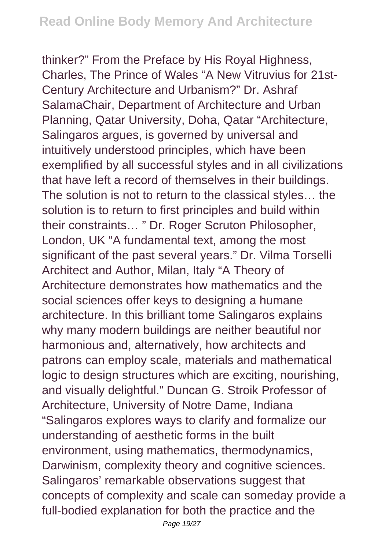thinker?" From the Preface by His Royal Highness, Charles, The Prince of Wales "A New Vitruvius for 21st-Century Architecture and Urbanism?" Dr. Ashraf SalamaChair, Department of Architecture and Urban Planning, Qatar University, Doha, Qatar "Architecture, Salingaros argues, is governed by universal and intuitively understood principles, which have been exemplified by all successful styles and in all civilizations that have left a record of themselves in their buildings. The solution is not to return to the classical styles… the solution is to return to first principles and build within their constraints… " Dr. Roger Scruton Philosopher, London, UK "A fundamental text, among the most significant of the past several years." Dr. Vilma Torselli Architect and Author, Milan, Italy "A Theory of Architecture demonstrates how mathematics and the social sciences offer keys to designing a humane architecture. In this brilliant tome Salingaros explains why many modern buildings are neither beautiful nor harmonious and, alternatively, how architects and patrons can employ scale, materials and mathematical logic to design structures which are exciting, nourishing, and visually delightful." Duncan G. Stroik Professor of Architecture, University of Notre Dame, Indiana "Salingaros explores ways to clarify and formalize our understanding of aesthetic forms in the built environment, using mathematics, thermodynamics, Darwinism, complexity theory and cognitive sciences. Salingaros' remarkable observations suggest that concepts of complexity and scale can someday provide a full-bodied explanation for both the practice and the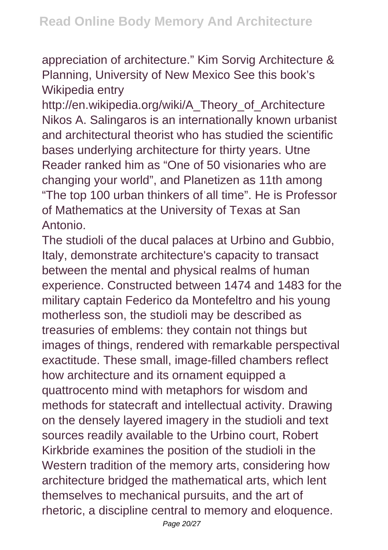appreciation of architecture." Kim Sorvig Architecture & Planning, University of New Mexico See this book's Wikipedia entry

http://en.wikipedia.org/wiki/A\_Theory\_of\_Architecture Nikos A. Salingaros is an internationally known urbanist and architectural theorist who has studied the scientific bases underlying architecture for thirty years. Utne Reader ranked him as "One of 50 visionaries who are changing your world", and Planetizen as 11th among "The top 100 urban thinkers of all time". He is Professor of Mathematics at the University of Texas at San Antonio.

The studioli of the ducal palaces at Urbino and Gubbio, Italy, demonstrate architecture's capacity to transact between the mental and physical realms of human experience. Constructed between 1474 and 1483 for the military captain Federico da Montefeltro and his young motherless son, the studioli may be described as treasuries of emblems: they contain not things but images of things, rendered with remarkable perspectival exactitude. These small, image-filled chambers reflect how architecture and its ornament equipped a quattrocento mind with metaphors for wisdom and methods for statecraft and intellectual activity. Drawing on the densely layered imagery in the studioli and text sources readily available to the Urbino court, Robert Kirkbride examines the position of the studioli in the Western tradition of the memory arts, considering how architecture bridged the mathematical arts, which lent themselves to mechanical pursuits, and the art of rhetoric, a discipline central to memory and eloquence.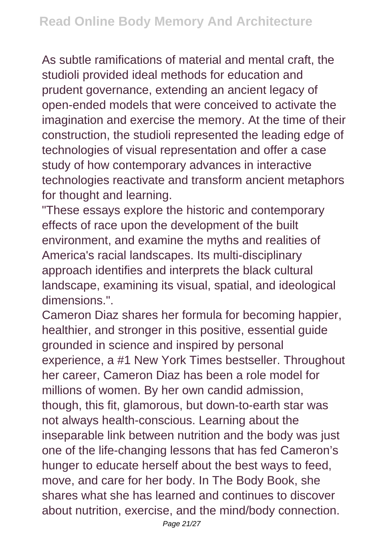As subtle ramifications of material and mental craft, the studioli provided ideal methods for education and prudent governance, extending an ancient legacy of open-ended models that were conceived to activate the imagination and exercise the memory. At the time of their construction, the studioli represented the leading edge of technologies of visual representation and offer a case study of how contemporary advances in interactive technologies reactivate and transform ancient metaphors for thought and learning.

"These essays explore the historic and contemporary effects of race upon the development of the built environment, and examine the myths and realities of America's racial landscapes. Its multi-disciplinary approach identifies and interprets the black cultural landscape, examining its visual, spatial, and ideological dimensions.".

Cameron Diaz shares her formula for becoming happier, healthier, and stronger in this positive, essential guide grounded in science and inspired by personal experience, a #1 New York Times bestseller. Throughout her career, Cameron Diaz has been a role model for millions of women. By her own candid admission, though, this fit, glamorous, but down-to-earth star was not always health-conscious. Learning about the inseparable link between nutrition and the body was just one of the life-changing lessons that has fed Cameron's hunger to educate herself about the best ways to feed, move, and care for her body. In The Body Book, she shares what she has learned and continues to discover about nutrition, exercise, and the mind/body connection.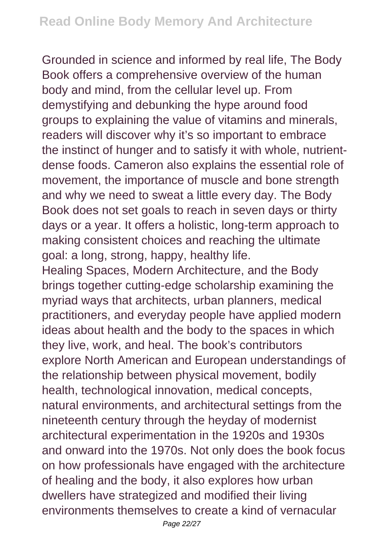Grounded in science and informed by real life, The Body Book offers a comprehensive overview of the human body and mind, from the cellular level up. From demystifying and debunking the hype around food groups to explaining the value of vitamins and minerals, readers will discover why it's so important to embrace the instinct of hunger and to satisfy it with whole, nutrientdense foods. Cameron also explains the essential role of movement, the importance of muscle and bone strength and why we need to sweat a little every day. The Body Book does not set goals to reach in seven days or thirty days or a year. It offers a holistic, long-term approach to making consistent choices and reaching the ultimate goal: a long, strong, happy, healthy life.

Healing Spaces, Modern Architecture, and the Body brings together cutting-edge scholarship examining the myriad ways that architects, urban planners, medical practitioners, and everyday people have applied modern ideas about health and the body to the spaces in which they live, work, and heal. The book's contributors explore North American and European understandings of the relationship between physical movement, bodily health, technological innovation, medical concepts, natural environments, and architectural settings from the nineteenth century through the heyday of modernist architectural experimentation in the 1920s and 1930s and onward into the 1970s. Not only does the book focus on how professionals have engaged with the architecture of healing and the body, it also explores how urban dwellers have strategized and modified their living environments themselves to create a kind of vernacular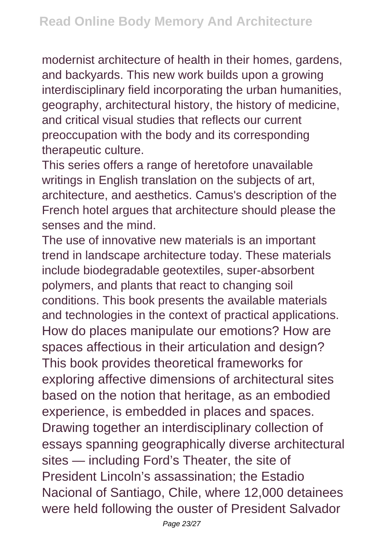modernist architecture of health in their homes, gardens, and backyards. This new work builds upon a growing interdisciplinary field incorporating the urban humanities, geography, architectural history, the history of medicine, and critical visual studies that reflects our current preoccupation with the body and its corresponding therapeutic culture.

This series offers a range of heretofore unavailable writings in English translation on the subjects of art, architecture, and aesthetics. Camus's description of the French hotel argues that architecture should please the senses and the mind.

The use of innovative new materials is an important trend in landscape architecture today. These materials include biodegradable geotextiles, super-absorbent polymers, and plants that react to changing soil conditions. This book presents the available materials and technologies in the context of practical applications. How do places manipulate our emotions? How are spaces affectious in their articulation and design? This book provides theoretical frameworks for exploring affective dimensions of architectural sites based on the notion that heritage, as an embodied experience, is embedded in places and spaces. Drawing together an interdisciplinary collection of essays spanning geographically diverse architectural sites — including Ford's Theater, the site of President Lincoln's assassination; the Estadio Nacional of Santiago, Chile, where 12,000 detainees were held following the ouster of President Salvador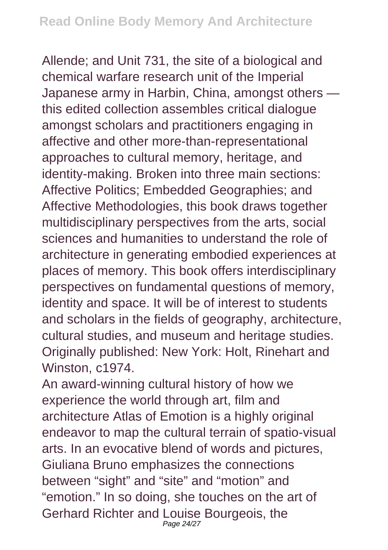Allende; and Unit 731, the site of a biological and chemical warfare research unit of the Imperial Japanese army in Harbin, China, amongst others this edited collection assembles critical dialogue amongst scholars and practitioners engaging in affective and other more-than-representational approaches to cultural memory, heritage, and identity-making. Broken into three main sections: Affective Politics; Embedded Geographies; and Affective Methodologies, this book draws together multidisciplinary perspectives from the arts, social sciences and humanities to understand the role of architecture in generating embodied experiences at places of memory. This book offers interdisciplinary perspectives on fundamental questions of memory, identity and space. It will be of interest to students and scholars in the fields of geography, architecture, cultural studies, and museum and heritage studies. Originally published: New York: Holt, Rinehart and Winston, c1974.

An award-winning cultural history of how we experience the world through art, film and architecture Atlas of Emotion is a highly original endeavor to map the cultural terrain of spatio-visual arts. In an evocative blend of words and pictures, Giuliana Bruno emphasizes the connections between "sight" and "site" and "motion" and "emotion." In so doing, she touches on the art of Gerhard Richter and Louise Bourgeois, the Page 24/27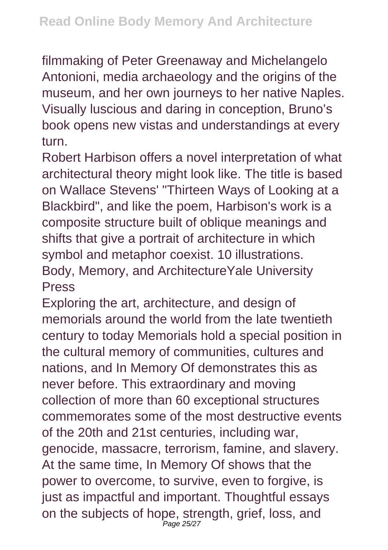filmmaking of Peter Greenaway and Michelangelo Antonioni, media archaeology and the origins of the museum, and her own journeys to her native Naples. Visually luscious and daring in conception, Bruno's book opens new vistas and understandings at every turn.

Robert Harbison offers a novel interpretation of what architectural theory might look like. The title is based on Wallace Stevens' "Thirteen Ways of Looking at a Blackbird", and like the poem, Harbison's work is a composite structure built of oblique meanings and shifts that give a portrait of architecture in which symbol and metaphor coexist. 10 illustrations. Body, Memory, and ArchitectureYale University Press

Exploring the art, architecture, and design of memorials around the world from the late twentieth century to today Memorials hold a special position in the cultural memory of communities, cultures and nations, and In Memory Of demonstrates this as never before. This extraordinary and moving collection of more than 60 exceptional structures commemorates some of the most destructive events of the 20th and 21st centuries, including war, genocide, massacre, terrorism, famine, and slavery. At the same time, In Memory Of shows that the power to overcome, to survive, even to forgive, is just as impactful and important. Thoughtful essays on the subjects of hope, strength, grief, loss, and Page 25/27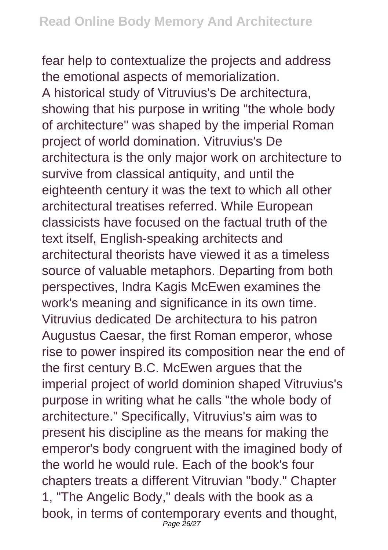fear help to contextualize the projects and address the emotional aspects of memorialization. A historical study of Vitruvius's De architectura, showing that his purpose in writing "the whole body of architecture" was shaped by the imperial Roman project of world domination. Vitruvius's De architectura is the only major work on architecture to survive from classical antiquity, and until the eighteenth century it was the text to which all other architectural treatises referred. While European classicists have focused on the factual truth of the text itself, English-speaking architects and architectural theorists have viewed it as a timeless source of valuable metaphors. Departing from both perspectives, Indra Kagis McEwen examines the work's meaning and significance in its own time. Vitruvius dedicated De architectura to his patron Augustus Caesar, the first Roman emperor, whose rise to power inspired its composition near the end of the first century B.C. McEwen argues that the imperial project of world dominion shaped Vitruvius's purpose in writing what he calls "the whole body of architecture." Specifically, Vitruvius's aim was to present his discipline as the means for making the emperor's body congruent with the imagined body of the world he would rule. Each of the book's four chapters treats a different Vitruvian "body." Chapter 1, "The Angelic Body," deals with the book as a book, in terms of contemporary events and thought, Page 26/27